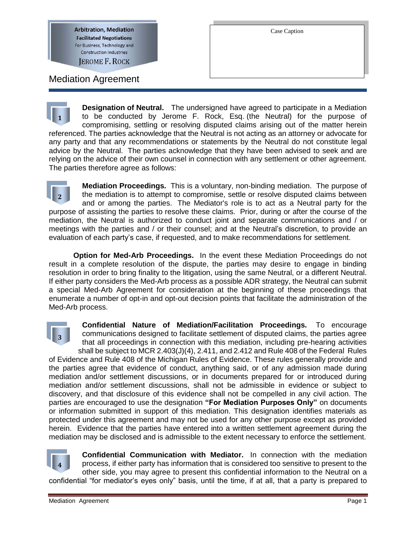**Arbitration, Mediation Facilitated Negotiations** For Business, Technology and **Construction Industries JEROME F. ROCK** 

Mediation Agreement

**Designation of Neutral.** The undersigned have agreed to participate in a Mediation to be conducted by Jerome F. Rock, Esq. (the Neutral) for the purpose of compromising, settling or resolving disputed claims arising out of the matter herein referenced. The parties acknowledge that the Neutral is not acting as an attorney or advocate for any party and that any recommendations or statements by the Neutral do not constitute legal advice by the Neutral. The parties acknowledge that they have been advised to seek and are relying on the advice of their own counsel in connection with any settlement or other agreement. The parties therefore agree as follows: **1**

**Mediation Proceedings.** This is a voluntary, non-binding mediation. The purpose of the mediation is to attempt to compromise, settle or resolve disputed claims between and or among the parties. The Mediator's role is to act as a Neutral party for the purpose of assisting the parties to resolve these claims. Prior, during or after the course of the mediation, the Neutral is authorized to conduct joint and separate communications and / or meetings with the parties and / or their counsel; and at the Neutral's discretion, to provide an evaluation of each party's case, if requested, and to make recommendations for settlement. **2**

**Option for Med-Arb Proceedings.** In the event these Mediation Proceedings do not result in a complete resolution of the dispute, the parties may desire to engage in binding resolution in order to bring finality to the litigation, using the same Neutral, or a different Neutral. If either party considers the Med-Arb process as a possible ADR strategy, the Neutral can submit a special Med-Arb Agreement for consideration at the beginning of these proceedings that enumerate a number of opt-in and opt-out decision points that facilitate the administration of the Med-Arb process.



**Confidential Nature of Mediation/Facilitation Proceedings.** To encourage communications designed to facilitate settlement of disputed claims, the parties agree that all proceedings in connection with this mediation, including pre-hearing activities shall be subject to MCR 2.403(J)(4), 2.411, and 2.412 and Rule 408 of the Federal Rules of Evidence and Rule 408 of the Michigan Rules of Evidence. These rules generally provide and the parties agree that evidence of conduct, anything said, or of any admission made during mediation and/or settlement discussions, or in documents prepared for or introduced during mediation and/or settlement discussions, shall not be admissible in evidence or subject to discovery, and that disclosure of this evidence shall not be compelled in any civil action. The parties are encouraged to use the designation **"For Mediation Purposes Only"** on documents or information submitted in support of this mediation. This designation identifies materials as protected under this agreement and may not be used for any other purpose except as provided herein. Evidence that the parties have entered into a written settlement agreement during the mediation may be disclosed and is admissible to the extent necessary to enforce the settlement.



**Confidential Communication with Mediator.** In connection with the mediation process, if either party has information that is considered too sensitive to present to the other side, you may agree to present this confidential information to the Neutral on a confidential "for mediator's eyes only" basis, until the time, if at all, that a party is prepared to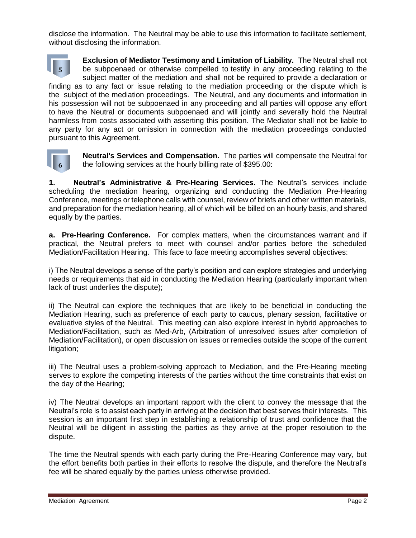disclose the information. The Neutral may be able to use this information to facilitate settlement, without disclosing the information.

**Exclusion of Mediator Testimony and Limitation of Liability.** The Neutral shall not be subpoenaed or otherwise compelled to testify in any proceeding relating to the subject matter of the mediation and shall not be required to provide a declaration or finding as to any fact or issue relating to the mediation proceeding or the dispute which is the subject of the mediation proceedings. The Neutral, and any documents and information in his possession will not be subpoenaed in any proceeding and all parties will oppose any effort to have the Neutral or documents subpoenaed and will jointly and severally hold the Neutral harmless from costs associated with asserting this position. The Mediator shall not be liable to any party for any act or omission in connection with the mediation proceedings conducted pursuant to this Agreement. **5**



**Neutral's Services and Compensation.** The parties will compensate the Neutral for the following services at the hourly billing rate of \$395.00:

**1. Neutral's Administrative & Pre-Hearing Services.** The Neutral's services include scheduling the mediation hearing, organizing and conducting the Mediation Pre-Hearing Conference, meetings or telephone calls with counsel, review of briefs and other written materials, and preparation for the mediation hearing, all of which will be billed on an hourly basis, and shared equally by the parties.

**a. Pre-Hearing Conference.** For complex matters, when the circumstances warrant and if practical, the Neutral prefers to meet with counsel and/or parties before the scheduled Mediation/Facilitation Hearing. This face to face meeting accomplishes several objectives:

i) The Neutral develops a sense of the party's position and can explore strategies and underlying needs or requirements that aid in conducting the Mediation Hearing (particularly important when lack of trust underlies the dispute);

ii) The Neutral can explore the techniques that are likely to be beneficial in conducting the Mediation Hearing, such as preference of each party to caucus, plenary session, facilitative or evaluative styles of the Neutral. This meeting can also explore interest in hybrid approaches to Mediation/Facilitation, such as Med-Arb, (Arbitration of unresolved issues after completion of Mediation/Facilitation), or open discussion on issues or remedies outside the scope of the current litigation;

iii) The Neutral uses a problem-solving approach to Mediation, and the Pre-Hearing meeting serves to explore the competing interests of the parties without the time constraints that exist on the day of the Hearing;

iv) The Neutral develops an important rapport with the client to convey the message that the Neutral's role is to assist each party in arriving at the decision that best serves their interests. This session is an important first step in establishing a relationship of trust and confidence that the Neutral will be diligent in assisting the parties as they arrive at the proper resolution to the dispute.

The time the Neutral spends with each party during the Pre-Hearing Conference may vary, but the effort benefits both parties in their efforts to resolve the dispute, and therefore the Neutral's fee will be shared equally by the parties unless otherwise provided.